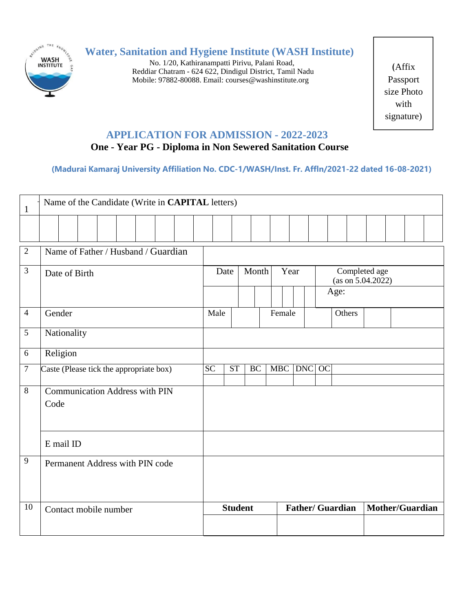

# **Water, Sanitation and Hygiene Institute (WASH Institute)**

No. 1/20, Kathiranampatti Pirivu, Palani Road, Reddiar Chatram - 624 622, Dindigul District, Tamil Nadu Mobile: 97882-80088. Email: [courses@washinstitute.org](mailto:courses@washinstitute.org)

(Affix Passport size Photo with signature)

## **APPLICATION FOR ADMISSION - 2022-2023**

## **One - Year PG - Diploma in Non Sewered Sanitation Course**

**(Madurai Kamaraj University Affiliation No. CDC-1/WASH/Inst. Fr. Affln/2021-22 dated 16-08-2021)**

| $\mathbf{1}$   | Name of the Candidate (Write in CAPITAL letters) |  |                 |                        |           |  |                         |        |                                            |        |                 |  |  |
|----------------|--------------------------------------------------|--|-----------------|------------------------|-----------|--|-------------------------|--------|--------------------------------------------|--------|-----------------|--|--|
|                |                                                  |  |                 |                        |           |  |                         |        |                                            |        |                 |  |  |
| $\sqrt{2}$     | Name of Father / Husband / Guardian              |  |                 |                        |           |  |                         |        |                                            |        |                 |  |  |
| 3              | Date of Birth                                    |  | Date            |                        | Month     |  | Year                    |        | Completed age<br>(as on 5.04.2022)<br>Age: |        |                 |  |  |
| $\overline{4}$ | Gender                                           |  | Male            |                        |           |  | Female                  |        |                                            | Others |                 |  |  |
| 5              | Nationality                                      |  |                 |                        |           |  |                         |        |                                            |        |                 |  |  |
| 6              | Religion                                         |  |                 |                        |           |  |                         |        |                                            |        |                 |  |  |
| $\overline{7}$ | Caste (Please tick the appropriate box)          |  | $\overline{SC}$ | $\overline{\text{ST}}$ | <b>BC</b> |  | <b>MBC</b>              | DNC OC |                                            |        |                 |  |  |
| 8              | <b>Communication Address with PIN</b><br>Code    |  |                 |                        |           |  |                         |        |                                            |        |                 |  |  |
|                | E mail ID                                        |  |                 |                        |           |  |                         |        |                                            |        |                 |  |  |
| 9              | Permanent Address with PIN code                  |  |                 |                        |           |  |                         |        |                                            |        |                 |  |  |
| 10             | Contact mobile number                            |  | <b>Student</b>  |                        |           |  | <b>Father/ Guardian</b> |        |                                            |        | Mother/Guardian |  |  |
|                |                                                  |  |                 |                        |           |  |                         |        |                                            |        |                 |  |  |